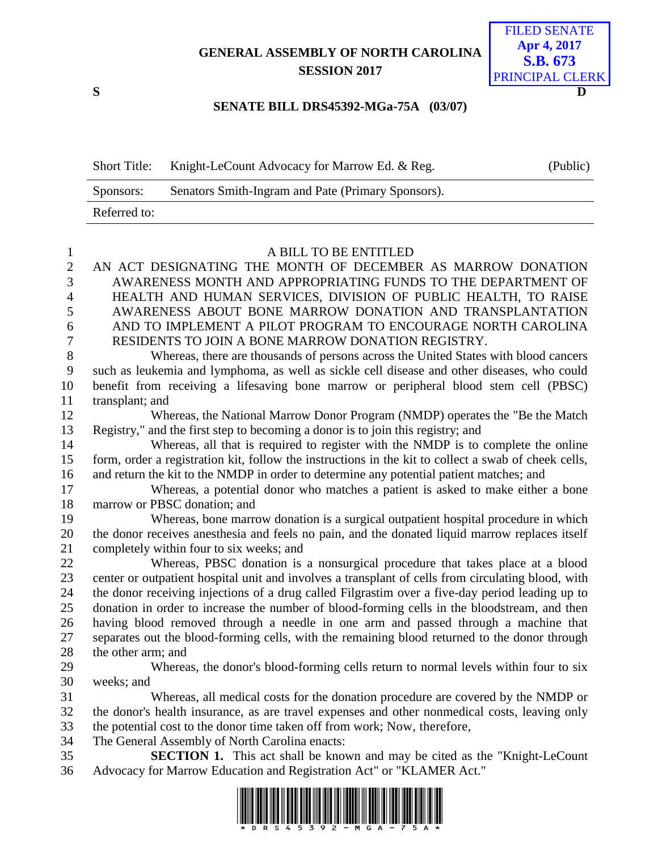## **GENERAL ASSEMBLY OF NORTH CAROLINA SESSION 2017**



## **SENATE BILL DRS45392-MGa-75A (03/07)**

| <b>Short Title:</b> | Knight-LeCount Advocacy for Marrow Ed. & Reg.      | (Public) |
|---------------------|----------------------------------------------------|----------|
| Sponsors:           | Senators Smith-Ingram and Pate (Primary Sponsors). |          |
| Referred to:        |                                                    |          |

## A BILL TO BE ENTITLED

|                | 2 AN ACT DESIGNATING THE MONTH OF DECEMBER AS MARROW DONATION    |
|----------------|------------------------------------------------------------------|
|                | 3 AWARENESS MONTH AND APPROPRIATING FUNDS TO THE DEPARTMENT OF   |
|                | 4 HEALTH AND HUMAN SERVICES, DIVISION OF PUBLIC HEALTH, TO RAISE |
| 5 <sup>5</sup> | AWARENESS ABOUT BONE MARROW DONATION AND TRANSPLANTATION         |
| 6              | AND TO IMPLEMENT A PILOT PROGRAM TO ENCOURAGE NORTH CAROLINA     |
| 7              | RESIDENTS TO JOIN A BONE MARROW DONATION REGISTRY.               |

 Whereas, there are thousands of persons across the United States with blood cancers such as leukemia and lymphoma, as well as sickle cell disease and other diseases, who could benefit from receiving a lifesaving bone marrow or peripheral blood stem cell (PBSC) transplant; and

 Whereas, the National Marrow Donor Program (NMDP) operates the "Be the Match Registry," and the first step to becoming a donor is to join this registry; and

 Whereas, all that is required to register with the NMDP is to complete the online form, order a registration kit, follow the instructions in the kit to collect a swab of cheek cells, and return the kit to the NMDP in order to determine any potential patient matches; and

 Whereas, a potential donor who matches a patient is asked to make either a bone marrow or PBSC donation; and

 Whereas, bone marrow donation is a surgical outpatient hospital procedure in which the donor receives anesthesia and feels no pain, and the donated liquid marrow replaces itself completely within four to six weeks; and

 Whereas, PBSC donation is a nonsurgical procedure that takes place at a blood center or outpatient hospital unit and involves a transplant of cells from circulating blood, with the donor receiving injections of a drug called Filgrastim over a five-day period leading up to donation in order to increase the number of blood-forming cells in the bloodstream, and then having blood removed through a needle in one arm and passed through a machine that separates out the blood-forming cells, with the remaining blood returned to the donor through the other arm; and

 Whereas, the donor's blood-forming cells return to normal levels within four to six weeks; and

 Whereas, all medical costs for the donation procedure are covered by the NMDP or the donor's health insurance, as are travel expenses and other nonmedical costs, leaving only the potential cost to the donor time taken off from work; Now, therefore,

- The General Assembly of North Carolina enacts:
- **SECTION 1.** This act shall be known and may be cited as the "Knight-LeCount Advocacy for Marrow Education and Registration Act" or "KLAMER Act."